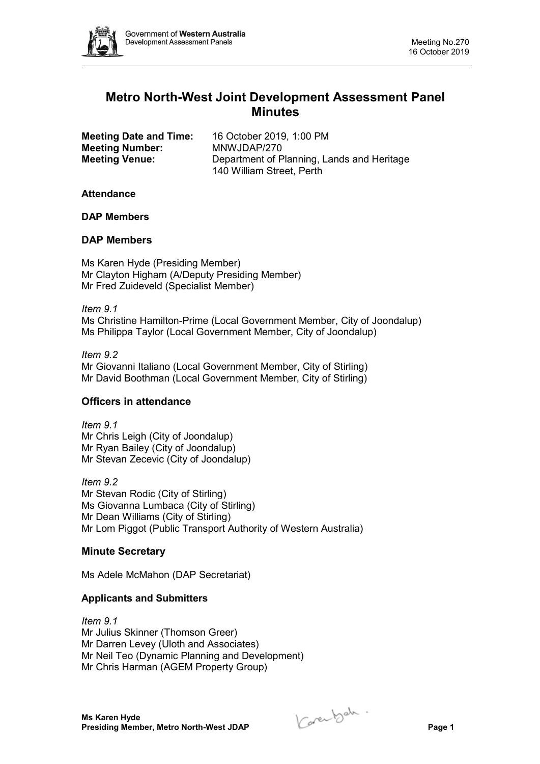

# **Metro North-West Joint Development Assessment Panel Minutes**

| <b>Meeting Date and Time:</b> | 16 October 2019, 1:00 PM                   |
|-------------------------------|--------------------------------------------|
| <b>Meeting Number:</b>        | MNWJDAP/270                                |
| <b>Meeting Venue:</b>         | Department of Planning, Lands and Heritage |
|                               | 140 William Street, Perth                  |

#### **Attendance**

**DAP Members**

#### **DAP Members**

Ms Karen Hyde (Presiding Member) Mr Clayton Higham (A/Deputy Presiding Member) Mr Fred Zuideveld (Specialist Member)

*Item 9.1* Ms Christine Hamilton-Prime (Local Government Member, City of Joondalup) Ms Philippa Taylor (Local Government Member, City of Joondalup)

*Item 9.2* Mr Giovanni Italiano (Local Government Member, City of Stirling) Mr David Boothman (Local Government Member, City of Stirling)

# **Officers in attendance**

*Item 9.1* Mr Chris Leigh (City of Joondalup) Mr Ryan Bailey (City of Joondalup) Mr Stevan Zecevic (City of Joondalup)

*Item 9.2* Mr Stevan Rodic (City of Stirling) Ms Giovanna Lumbaca (City of Stirling) Mr Dean Williams (City of Stirling) Mr Lom Piggot (Public Transport Authority of Western Australia)

# **Minute Secretary**

Ms Adele McMahon (DAP Secretariat)

# **Applicants and Submitters**

*Item 9.1* Mr Julius Skinner (Thomson Greer) Mr Darren Levey (Uloth and Associates) Mr Neil Teo (Dynamic Planning and Development) Mr Chris Harman (AGEM Property Group)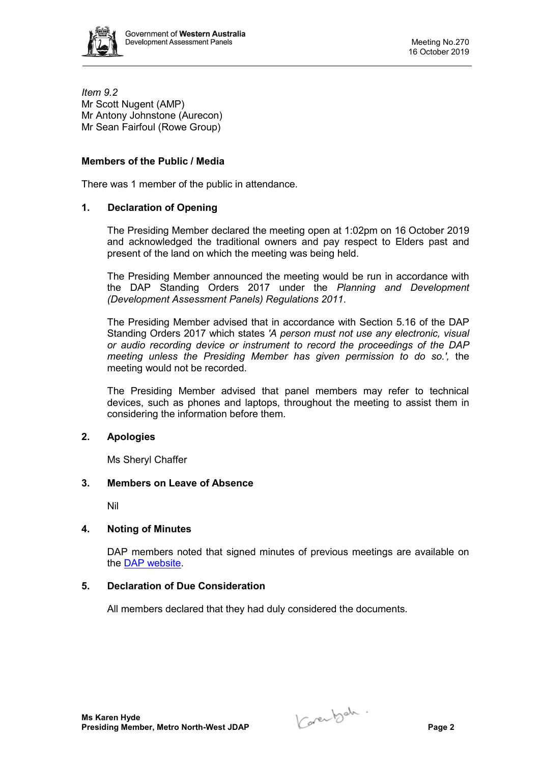

*Item 9.2* Mr Scott Nugent (AMP) Mr Antony Johnstone (Aurecon) Mr Sean Fairfoul (Rowe Group)

#### **Members of the Public / Media**

There was 1 member of the public in attendance.

#### **1. Declaration of Opening**

The Presiding Member declared the meeting open at 1:02pm on 16 October 2019 and acknowledged the traditional owners and pay respect to Elders past and present of the land on which the meeting was being held.

The Presiding Member announced the meeting would be run in accordance with the DAP Standing Orders 2017 under the *Planning and Development (Development Assessment Panels) Regulations 2011*.

The Presiding Member advised that in accordance with Section 5.16 of the DAP Standing Orders 2017 which states *'A person must not use any electronic, visual or audio recording device or instrument to record the proceedings of the DAP meeting unless the Presiding Member has given permission to do so.',* the meeting would not be recorded.

The Presiding Member advised that panel members may refer to technical devices, such as phones and laptops, throughout the meeting to assist them in considering the information before them.

#### **2. Apologies**

Ms Sheryl Chaffer

#### **3. Members on Leave of Absence**

Nil

# **4. Noting of Minutes**

DAP members noted that signed minutes of previous meetings are available on the [DAP website.](https://www.dplh.wa.gov.au/about/development-assessment-panels/daps-agendas-and-minutes)

# **5. Declaration of Due Consideration**

All members declared that they had duly considered the documents.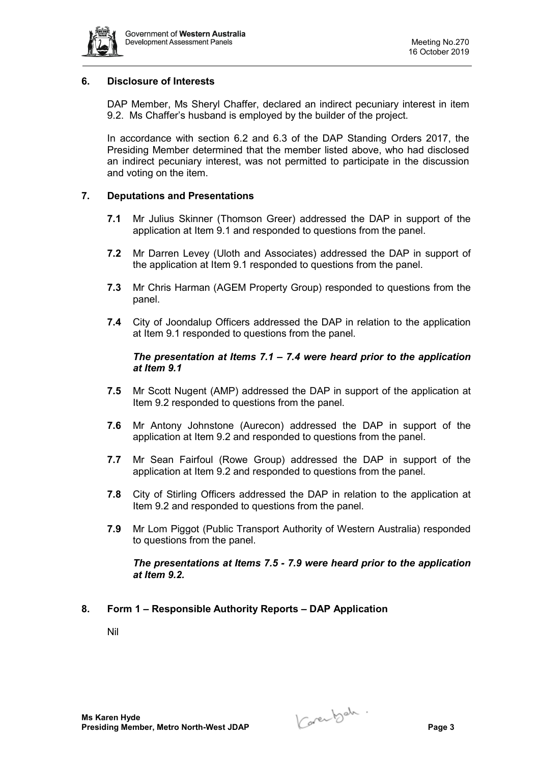

# **6. Disclosure of Interests**

DAP Member, Ms Sheryl Chaffer, declared an indirect pecuniary interest in item 9.2. Ms Chaffer's husband is employed by the builder of the project.

In accordance with section 6.2 and 6.3 of the DAP Standing Orders 2017, the Presiding Member determined that the member listed above, who had disclosed an indirect pecuniary interest, was not permitted to participate in the discussion and voting on the item.

#### **7. Deputations and Presentations**

- **7.1** Mr Julius Skinner (Thomson Greer) addressed the DAP in support of the application at Item 9.1 and responded to questions from the panel.
- **7.2** Mr Darren Levey (Uloth and Associates) addressed the DAP in support of the application at Item 9.1 responded to questions from the panel.
- **7.3** Mr Chris Harman (AGEM Property Group) responded to questions from the panel.
- **7.4** City of Joondalup Officers addressed the DAP in relation to the application at Item 9.1 responded to questions from the panel.

#### *The presentation at Items 7.1 – 7.4 were heard prior to the application at Item 9.1*

- **7.5** Mr Scott Nugent (AMP) addressed the DAP in support of the application at Item 9.2 responded to questions from the panel.
- **7.6** Mr Antony Johnstone (Aurecon) addressed the DAP in support of the application at Item 9.2 and responded to questions from the panel.
- **7.7** Mr Sean Fairfoul (Rowe Group) addressed the DAP in support of the application at Item 9.2 and responded to questions from the panel.
- **7.8** City of Stirling Officers addressed the DAP in relation to the application at Item 9.2 and responded to questions from the panel.
- **7.9** Mr Lom Piggot (Public Transport Authority of Western Australia) responded to questions from the panel.

#### *The presentations at Items 7.5 - 7.9 were heard prior to the application at Item 9.2.*

# **8. Form 1 – Responsible Authority Reports – DAP Application**

Nil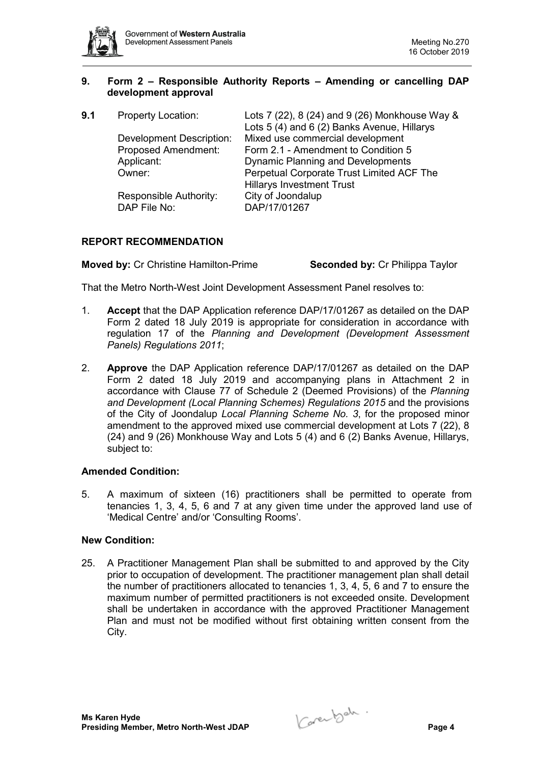

# **9. Form 2 – Responsible Authority Reports – Amending or cancelling DAP development approval**

| 9.1 | <b>Property Location:</b>       | Lots 7 (22), 8 (24) and 9 (26) Monkhouse Way &<br>Lots 5 (4) and 6 (2) Banks Avenue, Hillarys |
|-----|---------------------------------|-----------------------------------------------------------------------------------------------|
|     | <b>Development Description:</b> | Mixed use commercial development                                                              |
|     | <b>Proposed Amendment:</b>      | Form 2.1 - Amendment to Condition 5                                                           |
|     | Applicant:                      | <b>Dynamic Planning and Developments</b>                                                      |
|     | Owner:                          | Perpetual Corporate Trust Limited ACF The                                                     |
|     |                                 | <b>Hillarys Investment Trust</b>                                                              |
|     | Responsible Authority:          | City of Joondalup                                                                             |
|     | DAP File No:                    | DAP/17/01267                                                                                  |

# **REPORT RECOMMENDATION**

**Moved by:** Cr Christine Hamilton-Prime **Seconded by:** Cr Philippa Taylor

That the Metro North-West Joint Development Assessment Panel resolves to:

- 1. **Accept** that the DAP Application reference DAP/17/01267 as detailed on the DAP Form 2 dated 18 July 2019 is appropriate for consideration in accordance with regulation 17 of the *Planning and Development (Development Assessment Panels) Regulations 2011*;
- 2. **Approve** the DAP Application reference DAP/17/01267 as detailed on the DAP Form 2 dated 18 July 2019 and accompanying plans in Attachment 2 in accordance with Clause 77 of Schedule 2 (Deemed Provisions) of the *Planning and Development (Local Planning Schemes) Regulations 2015* and the provisions of the City of Joondalup *Local Planning Scheme No. 3*, for the proposed minor amendment to the approved mixed use commercial development at Lots 7 (22), 8 (24) and 9 (26) Monkhouse Way and Lots 5 (4) and 6 (2) Banks Avenue, Hillarys, subject to:

# **Amended Condition:**

5. A maximum of sixteen (16) practitioners shall be permitted to operate from tenancies 1, 3, 4, 5, 6 and 7 at any given time under the approved land use of 'Medical Centre' and/or 'Consulting Rooms'.

# **New Condition:**

25. A Practitioner Management Plan shall be submitted to and approved by the City prior to occupation of development. The practitioner management plan shall detail the number of practitioners allocated to tenancies 1, 3, 4, 5, 6 and 7 to ensure the maximum number of permitted practitioners is not exceeded onsite. Development shall be undertaken in accordance with the approved Practitioner Management Plan and must not be modified without first obtaining written consent from the City.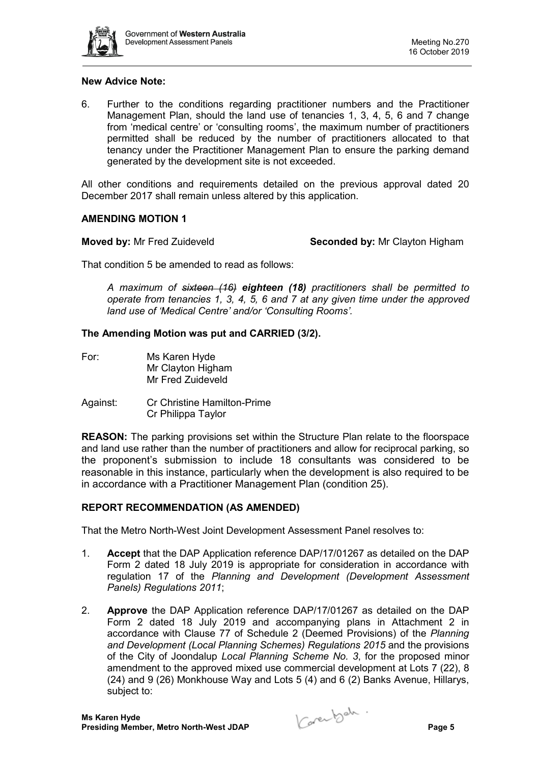

#### **New Advice Note:**

6. Further to the conditions regarding practitioner numbers and the Practitioner Management Plan, should the land use of tenancies 1, 3, 4, 5, 6 and 7 change from 'medical centre' or 'consulting rooms', the maximum number of practitioners permitted shall be reduced by the number of practitioners allocated to that tenancy under the Practitioner Management Plan to ensure the parking demand generated by the development site is not exceeded.

All other conditions and requirements detailed on the previous approval dated 20 December 2017 shall remain unless altered by this application.

# **AMENDING MOTION 1**

**Moved by:** Mr Fred Zuideveld **Seconded by:** Mr Clayton Higham

That condition 5 be amended to read as follows:

*A maximum of sixteen (16) eighteen (18) practitioners shall be permitted to operate from tenancies 1, 3, 4, 5, 6 and 7 at any given time under the approved land use of 'Medical Centre' and/or 'Consulting Rooms'.*

#### **The Amending Motion was put and CARRIED (3/2).**

- For: Ms Karen Hyde Mr Clayton Higham Mr Fred Zuideveld
- Against: Cr Christine Hamilton-Prime Cr Philippa Taylor

**REASON:** The parking provisions set within the Structure Plan relate to the floorspace and land use rather than the number of practitioners and allow for reciprocal parking, so the proponent's submission to include 18 consultants was considered to be reasonable in this instance, particularly when the development is also required to be in accordance with a Practitioner Management Plan (condition 25).

# **REPORT RECOMMENDATION (AS AMENDED)**

That the Metro North-West Joint Development Assessment Panel resolves to:

- 1. **Accept** that the DAP Application reference DAP/17/01267 as detailed on the DAP Form 2 dated 18 July 2019 is appropriate for consideration in accordance with regulation 17 of the *Planning and Development (Development Assessment Panels) Regulations 2011*;
- 2. **Approve** the DAP Application reference DAP/17/01267 as detailed on the DAP Form 2 dated 18 July 2019 and accompanying plans in Attachment 2 in accordance with Clause 77 of Schedule 2 (Deemed Provisions) of the *Planning and Development (Local Planning Schemes) Regulations 2015* and the provisions of the City of Joondalup *Local Planning Scheme No. 3*, for the proposed minor amendment to the approved mixed use commercial development at Lots 7 (22), 8 (24) and 9 (26) Monkhouse Way and Lots 5 (4) and 6 (2) Banks Avenue, Hillarys, subject to: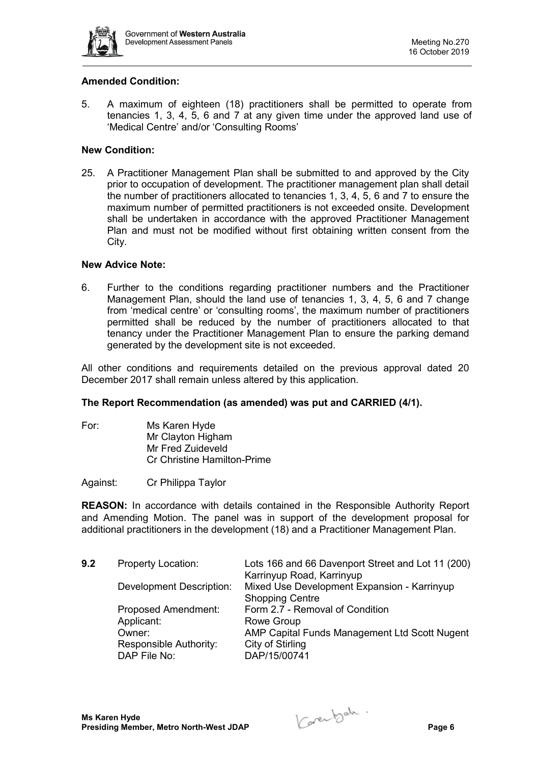

# **Amended Condition:**

5. A maximum of eighteen (18) practitioners shall be permitted to operate from tenancies 1, 3, 4, 5, 6 and 7 at any given time under the approved land use of 'Medical Centre' and/or 'Consulting Rooms'

# **New Condition:**

25. A Practitioner Management Plan shall be submitted to and approved by the City prior to occupation of development. The practitioner management plan shall detail the number of practitioners allocated to tenancies 1, 3, 4, 5, 6 and 7 to ensure the maximum number of permitted practitioners is not exceeded onsite. Development shall be undertaken in accordance with the approved Practitioner Management Plan and must not be modified without first obtaining written consent from the City.

#### **New Advice Note:**

6. Further to the conditions regarding practitioner numbers and the Practitioner Management Plan, should the land use of tenancies 1, 3, 4, 5, 6 and 7 change from 'medical centre' or 'consulting rooms', the maximum number of practitioners permitted shall be reduced by the number of practitioners allocated to that tenancy under the Practitioner Management Plan to ensure the parking demand generated by the development site is not exceeded.

All other conditions and requirements detailed on the previous approval dated 20 December 2017 shall remain unless altered by this application.

#### **The Report Recommendation (as amended) was put and CARRIED (4/1).**

For: Ms Karen Hyde Mr Clayton Higham Mr Fred Zuideveld Cr Christine Hamilton-Prime

Against: Cr Philippa Taylor

**REASON:** In accordance with details contained in the Responsible Authority Report and Amending Motion. The panel was in support of the development proposal for additional practitioners in the development (18) and a Practitioner Management Plan.

| <b>Property Location:</b>       | Lots 166 and 66 Davenport Street and Lot 11 (200)<br>Karrinyup Road, Karrinyup |
|---------------------------------|--------------------------------------------------------------------------------|
| <b>Development Description:</b> | Mixed Use Development Expansion - Karrinyup                                    |
|                                 | <b>Shopping Centre</b>                                                         |
| <b>Proposed Amendment:</b>      | Form 2.7 - Removal of Condition                                                |
| Applicant:                      | Rowe Group                                                                     |
| Owner:                          | AMP Capital Funds Management Ltd Scott Nugent                                  |
| Responsible Authority:          | City of Stirling                                                               |
| DAP File No:                    | DAP/15/00741                                                                   |
|                                 |                                                                                |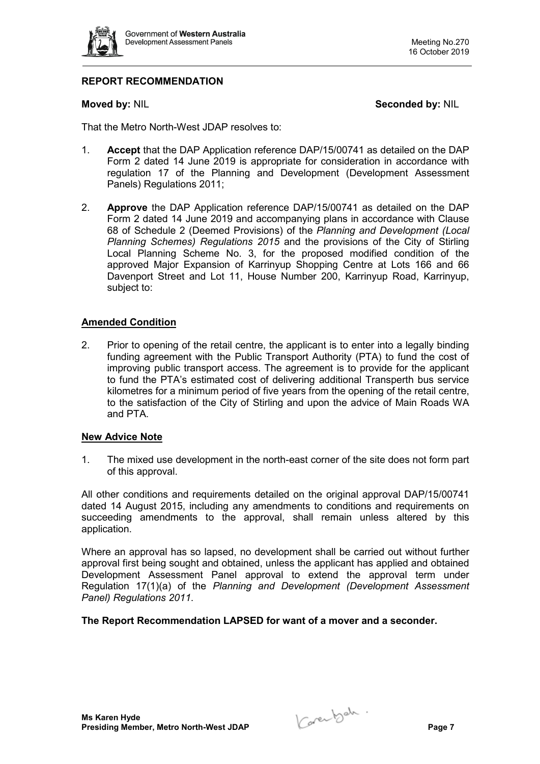

# **REPORT RECOMMENDATION**

**Moved by: NIL <b>Seconded by: NIL Seconded by: NIL** 

That the Metro North-West JDAP resolves to:

- 1. **Accept** that the DAP Application reference DAP/15/00741 as detailed on the DAP Form 2 dated 14 June 2019 is appropriate for consideration in accordance with regulation 17 of the Planning and Development (Development Assessment Panels) Regulations 2011;
- 2. **Approve** the DAP Application reference DAP/15/00741 as detailed on the DAP Form 2 dated 14 June 2019 and accompanying plans in accordance with Clause 68 of Schedule 2 (Deemed Provisions) of the *Planning and Development (Local Planning Schemes) Regulations 2015* and the provisions of the City of Stirling Local Planning Scheme No. 3, for the proposed modified condition of the approved Major Expansion of Karrinyup Shopping Centre at Lots 166 and 66 Davenport Street and Lot 11, House Number 200, Karrinyup Road, Karrinyup, subject to:

# **Amended Condition**

2. Prior to opening of the retail centre, the applicant is to enter into a legally binding funding agreement with the Public Transport Authority (PTA) to fund the cost of improving public transport access. The agreement is to provide for the applicant to fund the PTA's estimated cost of delivering additional Transperth bus service kilometres for a minimum period of five years from the opening of the retail centre, to the satisfaction of the City of Stirling and upon the advice of Main Roads WA and PTA.

#### **New Advice Note**

1. The mixed use development in the north-east corner of the site does not form part of this approval.

All other conditions and requirements detailed on the original approval DAP/15/00741 dated 14 August 2015, including any amendments to conditions and requirements on succeeding amendments to the approval, shall remain unless altered by this application.

Where an approval has so lapsed, no development shall be carried out without further approval first being sought and obtained, unless the applicant has applied and obtained Development Assessment Panel approval to extend the approval term under Regulation 17(1)(a) of the *Planning and Development (Development Assessment Panel) Regulations 2011*.

**The Report Recommendation LAPSED for want of a mover and a seconder.**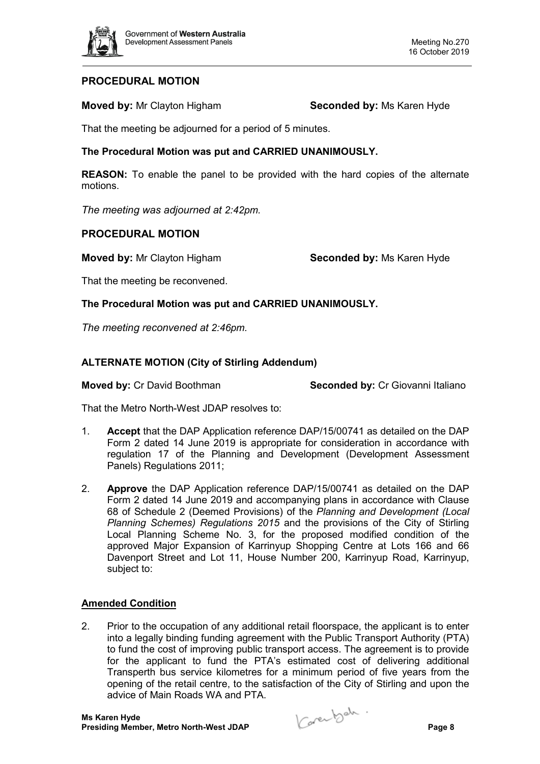

# **PROCEDURAL MOTION**

**Moved by:** Mr Clayton Higham **Seconded by:** Ms Karen Hyde

That the meeting be adjourned for a period of 5 minutes.

# **The Procedural Motion was put and CARRIED UNANIMOUSLY.**

**REASON:** To enable the panel to be provided with the hard copies of the alternate motions.

*The meeting was adjourned at 2:42pm.*

# **PROCEDURAL MOTION**

**Moved by:** Mr Clayton Higham **Seconded by:** Ms Karen Hyde

That the meeting be reconvened.

**The Procedural Motion was put and CARRIED UNANIMOUSLY.**

*The meeting reconvened at 2:46pm.*

# **ALTERNATE MOTION (City of Stirling Addendum)**

**Moved by:** Cr David Boothman **Seconded by:** Cr Giovanni Italiano

That the Metro North-West JDAP resolves to:

- 1. **Accept** that the DAP Application reference DAP/15/00741 as detailed on the DAP Form 2 dated 14 June 2019 is appropriate for consideration in accordance with regulation 17 of the Planning and Development (Development Assessment Panels) Regulations 2011;
- 2. **Approve** the DAP Application reference DAP/15/00741 as detailed on the DAP Form 2 dated 14 June 2019 and accompanying plans in accordance with Clause 68 of Schedule 2 (Deemed Provisions) of the *Planning and Development (Local Planning Schemes) Regulations 2015* and the provisions of the City of Stirling Local Planning Scheme No. 3, for the proposed modified condition of the approved Major Expansion of Karrinyup Shopping Centre at Lots 166 and 66 Davenport Street and Lot 11, House Number 200, Karrinyup Road, Karrinyup, subject to:

# **Amended Condition**

2. Prior to the occupation of any additional retail floorspace, the applicant is to enter into a legally binding funding agreement with the Public Transport Authority (PTA) to fund the cost of improving public transport access. The agreement is to provide for the applicant to fund the PTA's estimated cost of delivering additional Transperth bus service kilometres for a minimum period of five years from the opening of the retail centre, to the satisfaction of the City of Stirling and upon the advice of Main Roads WA and PTA.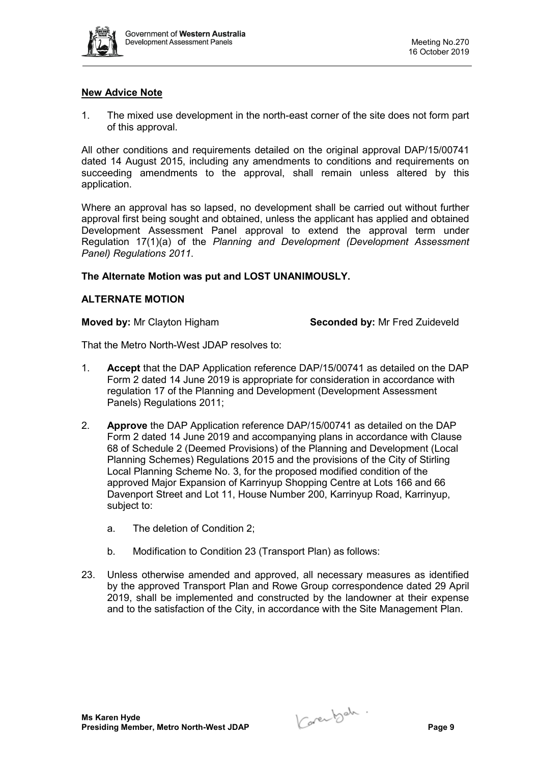

# **New Advice Note**

1. The mixed use development in the north-east corner of the site does not form part of this approval.

All other conditions and requirements detailed on the original approval DAP/15/00741 dated 14 August 2015, including any amendments to conditions and requirements on succeeding amendments to the approval, shall remain unless altered by this application.

Where an approval has so lapsed, no development shall be carried out without further approval first being sought and obtained, unless the applicant has applied and obtained Development Assessment Panel approval to extend the approval term under Regulation 17(1)(a) of the *Planning and Development (Development Assessment Panel) Regulations 2011*.

#### **The Alternate Motion was put and LOST UNANIMOUSLY.**

#### **ALTERNATE MOTION**

**Moved by:** Mr Clayton Higham **Seconded by:** Mr Fred Zuideveld

That the Metro North-West JDAP resolves to:

- 1. **Accept** that the DAP Application reference DAP/15/00741 as detailed on the DAP Form 2 dated 14 June 2019 is appropriate for consideration in accordance with regulation 17 of the Planning and Development (Development Assessment Panels) Regulations 2011;
- 2. **Approve** the DAP Application reference DAP/15/00741 as detailed on the DAP Form 2 dated 14 June 2019 and accompanying plans in accordance with Clause 68 of Schedule 2 (Deemed Provisions) of the Planning and Development (Local Planning Schemes) Regulations 2015 and the provisions of the City of Stirling Local Planning Scheme No. 3, for the proposed modified condition of the approved Major Expansion of Karrinyup Shopping Centre at Lots 166 and 66 Davenport Street and Lot 11, House Number 200, Karrinyup Road, Karrinyup, subject to:
	- a. The deletion of Condition 2;
	- b. Modification to Condition 23 (Transport Plan) as follows:
- 23. Unless otherwise amended and approved, all necessary measures as identified by the approved Transport Plan and Rowe Group correspondence dated 29 April 2019, shall be implemented and constructed by the landowner at their expense and to the satisfaction of the City, in accordance with the Site Management Plan.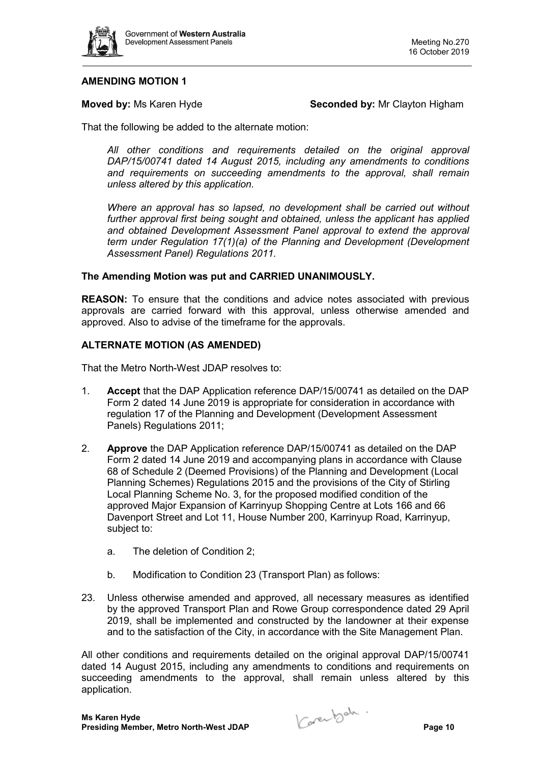

# **AMENDING MOTION 1**

**Moved by:** Ms Karen Hyde **Seconded by:** Mr Clayton Higham

That the following be added to the alternate motion:

*All other conditions and requirements detailed on the original approval DAP/15/00741 dated 14 August 2015, including any amendments to conditions and requirements on succeeding amendments to the approval, shall remain unless altered by this application.* 

*Where an approval has so lapsed, no development shall be carried out without further approval first being sought and obtained, unless the applicant has applied and obtained Development Assessment Panel approval to extend the approval term under Regulation 17(1)(a) of the Planning and Development (Development Assessment Panel) Regulations 2011.* 

#### **The Amending Motion was put and CARRIED UNANIMOUSLY.**

**REASON:** To ensure that the conditions and advice notes associated with previous approvals are carried forward with this approval, unless otherwise amended and approved. Also to advise of the timeframe for the approvals.

#### **ALTERNATE MOTION (AS AMENDED)**

That the Metro North-West JDAP resolves to:

- 1. **Accept** that the DAP Application reference DAP/15/00741 as detailed on the DAP Form 2 dated 14 June 2019 is appropriate for consideration in accordance with regulation 17 of the Planning and Development (Development Assessment Panels) Regulations 2011;
- 2. **Approve** the DAP Application reference DAP/15/00741 as detailed on the DAP Form 2 dated 14 June 2019 and accompanying plans in accordance with Clause 68 of Schedule 2 (Deemed Provisions) of the Planning and Development (Local Planning Schemes) Regulations 2015 and the provisions of the City of Stirling Local Planning Scheme No. 3, for the proposed modified condition of the approved Major Expansion of Karrinyup Shopping Centre at Lots 166 and 66 Davenport Street and Lot 11, House Number 200, Karrinyup Road, Karrinyup, subject to:
	- a. The deletion of Condition 2;
	- b. Modification to Condition 23 (Transport Plan) as follows:
- 23. Unless otherwise amended and approved, all necessary measures as identified by the approved Transport Plan and Rowe Group correspondence dated 29 April 2019, shall be implemented and constructed by the landowner at their expense and to the satisfaction of the City, in accordance with the Site Management Plan.

All other conditions and requirements detailed on the original approval DAP/15/00741 dated 14 August 2015, including any amendments to conditions and requirements on succeeding amendments to the approval, shall remain unless altered by this application.